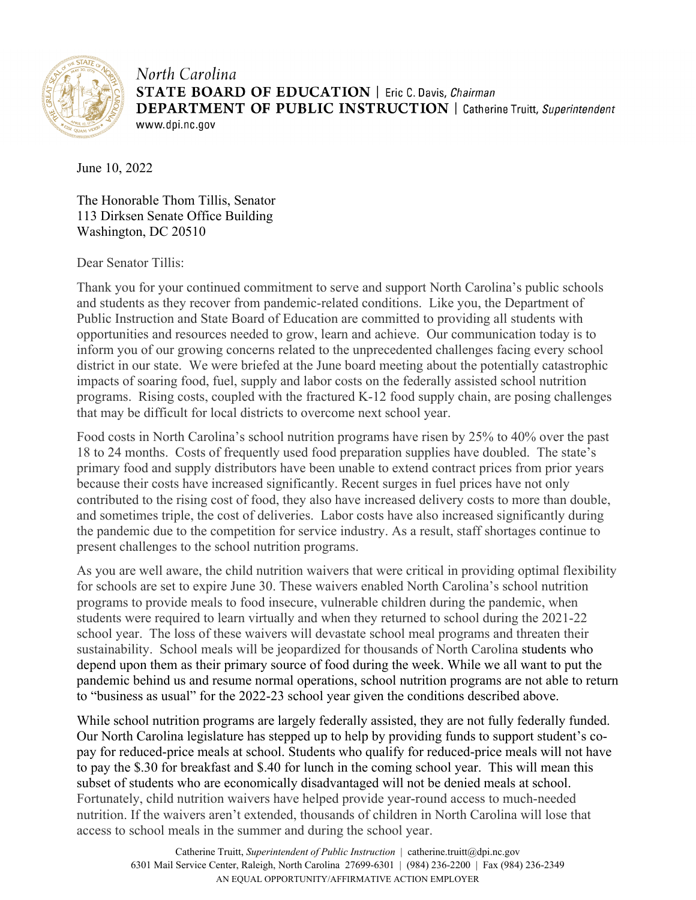

North Carolina **STATE BOARD OF EDUCATION** | Eric C. Davis, Chairman **DEPARTMENT OF PUBLIC INSTRUCTION** | Catherine Truitt, Superintendent www.dpi.nc.gov

June 10, 2022

The Honorable Thom Tillis, Senator 113 Dirksen Senate Office Building Washington, DC 20510

Dear Senator Tillis:

Thank you for your continued commitment to serve and support North Carolina's public schools and students as they recover from pandemic-related conditions. Like you, the Department of Public Instruction and State Board of Education are committed to providing all students with opportunities and resources needed to grow, learn and achieve. Our communication today is to inform you of our growing concerns related to the unprecedented challenges facing every school district in our state. We were briefed at the June board meeting about the potentially catastrophic impacts of soaring food, fuel, supply and labor costs on the federally assisted school nutrition programs. Rising costs, coupled with the fractured K-12 food supply chain, are posing challenges that may be difficult for local districts to overcome next school year.

Food costs in North Carolina's school nutrition programs have risen by 25% to 40% over the past 18 to 24 months. Costs of frequently used food preparation supplies have doubled. The state's primary food and supply distributors have been unable to extend contract prices from prior years because their costs have increased significantly. Recent surges in fuel prices have not only contributed to the rising cost of food, they also have increased delivery costs to more than double, and sometimes triple, the cost of deliveries. Labor costs have also increased significantly during the pandemic due to the competition for service industry. As a result, staff shortages continue to present challenges to the school nutrition programs.

As you are well aware, the child nutrition waivers that were critical in providing optimal flexibility for schools are set to expire June 30. These waivers enabled North Carolina's school nutrition programs to provide meals to food insecure, vulnerable children during the pandemic, when students were required to learn virtually and when they returned to school during the 2021-22 school year. The loss of these waivers will devastate school meal programs and threaten their sustainability. School meals will be jeopardized for thousands of North Carolina students who depend upon them as their primary source of food during the week. While we all want to put the pandemic behind us and resume normal operations, school nutrition programs are not able to return to "business as usual" for the 2022-23 school year given the conditions described above.

While school nutrition programs are largely federally assisted, they are not fully federally funded. Our North Carolina legislature has stepped up to help by providing funds to support student's copay for reduced-price meals at school. Students who qualify for reduced-price meals will not have to pay the \$.30 for breakfast and \$.40 for lunch in the coming school year. This will mean this subset of students who are economically disadvantaged will not be denied meals at school. Fortunately, child nutrition waivers have helped provide year-round access to much-needed nutrition. If the waivers aren't extended, thousands of children in North Carolina will lose that access to school meals in the summer and during the school year.